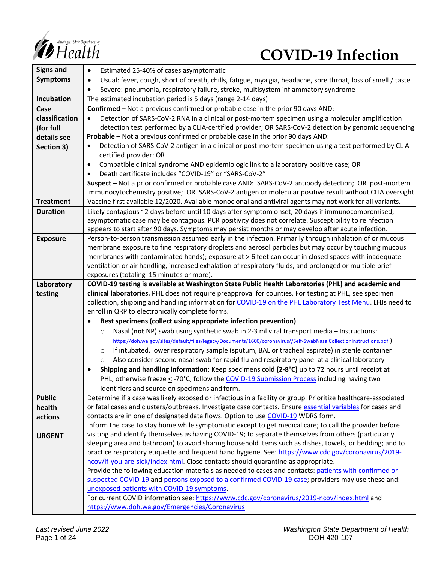

# **COVID-19 Infection**

| <b>Signs and</b> | Estimated 25-40% of cases asymptomatic<br>$\bullet$                                                                                                                                                          |
|------------------|--------------------------------------------------------------------------------------------------------------------------------------------------------------------------------------------------------------|
| <b>Symptoms</b>  | Usual: fever, cough, short of breath, chills, fatigue, myalgia, headache, sore throat, loss of smell / taste<br>٠                                                                                            |
|                  | Severe: pneumonia, respiratory failure, stroke, multisystem inflammatory syndrome                                                                                                                            |
| Incubation       | The estimated incubation period is 5 days (range 2-14 days)                                                                                                                                                  |
| Case             | Confirmed - Not a previous confirmed or probable case in the prior 90 days AND:                                                                                                                              |
| classification   | Detection of SARS-CoV-2 RNA in a clinical or post-mortem specimen using a molecular amplification                                                                                                            |
| (for full        | detection test performed by a CLIA-certified provider; OR SARS-CoV-2 detection by genomic sequencing                                                                                                         |
| details see      | Probable - Not a previous confirmed or probable case in the prior 90 days AND:                                                                                                                               |
| Section 3)       | Detection of SARS-CoV-2 antigen in a clinical or post-mortem specimen using a test performed by CLIA-                                                                                                        |
|                  | certified provider; OR                                                                                                                                                                                       |
|                  | Compatible clinical syndrome AND epidemiologic link to a laboratory positive case; OR<br>$\bullet$                                                                                                           |
|                  | Death certificate includes "COVID-19" or "SARS-CoV-2"                                                                                                                                                        |
|                  | Suspect - Not a prior confirmed or probable case AND: SARS-CoV-2 antibody detection; OR post-mortem                                                                                                          |
|                  | immunocytochemistry positive; OR SARS-CoV-2 antigen or molecular positive result without CLIA oversight                                                                                                      |
| <b>Treatment</b> | Vaccine first available 12/2020. Available monoclonal and antiviral agents may not work for all variants.                                                                                                    |
| <b>Duration</b>  | Likely contagious ~2 days before until 10 days after symptom onset, 20 days if immunocompromised;                                                                                                            |
|                  | asymptomatic case may be contagious. PCR positivity does not correlate. Susceptibility to reinfection                                                                                                        |
|                  | appears to start after 90 days. Symptoms may persist months or may develop after acute infection.                                                                                                            |
| <b>Exposure</b>  | Person-to-person transmission assumed early in the infection. Primarily through inhalation of or mucous                                                                                                      |
|                  | membrane exposure to fine respiratory droplets and aerosol particles but may occur by touching mucous<br>membranes with contaminated hands); exposure at > 6 feet can occur in closed spaces with inadequate |
|                  | ventilation or air handling, increased exhalation of respiratory fluids, and prolonged or multiple brief                                                                                                     |
|                  | exposures (totaling 15 minutes or more).                                                                                                                                                                     |
| Laboratory       | COVID-19 testing is available at Washington State Public Health Laboratories (PHL) and academic and                                                                                                          |
| testing          | clinical laboratories. PHL does not require preapproval for counties. For testing at PHL, see specimen                                                                                                       |
|                  | collection, shipping and handling information for COVID-19 on the PHL Laboratory Test Menu. LHJs need to                                                                                                     |
|                  | enroll in QRP to electronically complete forms.                                                                                                                                                              |
|                  | Best specimens (collect using appropriate infection prevention)                                                                                                                                              |
|                  | Nasal (not NP) swab using synthetic swab in 2-3 ml viral transport media - Instructions:<br>$\circ$                                                                                                          |
|                  | https://doh.wa.gov/sites/default/files/legacy/Documents/1600/coronavirus//Self-SwabNasalCollectionInstructions.pdf)                                                                                          |
|                  | If intubated, lower respiratory sample (sputum, BAL or tracheal aspirate) in sterile container<br>O                                                                                                          |
|                  | Also consider second nasal swab for rapid flu and respiratory panel at a clinical laboratory<br>O                                                                                                            |
|                  | Shipping and handling information: Keep specimens cold (2-8°C) up to 72 hours until receipt at                                                                                                               |
|                  | PHL, otherwise freeze < -70°C; follow the COVID-19 Submission Process including having two                                                                                                                   |
|                  | identifiers and source on specimens and form.                                                                                                                                                                |
| <b>Public</b>    | Determine if a case was likely exposed or infectious in a facility or group. Prioritize healthcare-associated                                                                                                |
| health           | or fatal cases and clusters/outbreaks. Investigate case contacts. Ensure essential variables for cases and                                                                                                   |
| actions          | contacts are in one of designated data flows. Option to use COVID-19 WDRS form.                                                                                                                              |
|                  | Inform the case to stay home while symptomatic except to get medical care; to call the provider before                                                                                                       |
| <b>URGENT</b>    | visiting and identify themselves as having COVID-19; to separate themselves from others (particularly                                                                                                        |
|                  | sleeping area and bathroom) to avoid sharing household items such as dishes, towels, or bedding; and to                                                                                                      |
|                  | practice respiratory etiquette and frequent hand hygiene. See: https://www.cdc.gov/coronavirus/2019-                                                                                                         |
|                  | ncov/if-you-are-sick/index.html. Close contacts should quarantine as appropriate.                                                                                                                            |
|                  | Provide the following education materials as needed to cases and contacts: patients with confirmed or                                                                                                        |
|                  | suspected COVID-19 and persons exposed to a confirmed COVID-19 case; providers may use these and:                                                                                                            |
|                  | unexposed patients with COVID-19 symptoms.                                                                                                                                                                   |
|                  | For current COVID information see: https://www.cdc.gov/coronavirus/2019-ncov/index.html and                                                                                                                  |
|                  | https://www.doh.wa.gov/Emergencies/Coronavirus                                                                                                                                                               |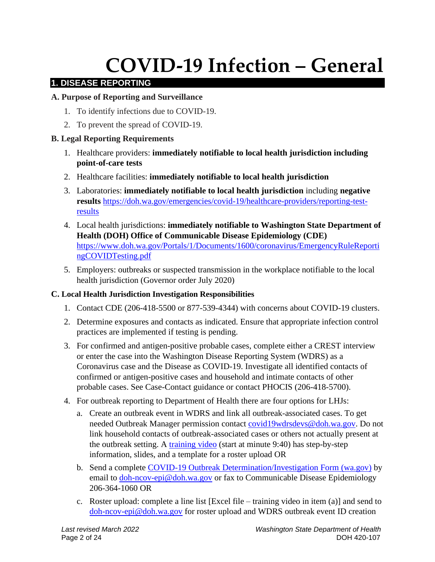# **COVID-19 Infection – General**

# **1. DISEASE REPORTING**

# **A. Purpose of Reporting and Surveillance**

- 1. To identify infections due to COVID-19.
- 2. To prevent the spread of COVID-19.

# **B. Legal Reporting Requirements**

- 1. Healthcare providers: **immediately notifiable to local health jurisdiction including point-of-care tests**
- 2. Healthcare facilities: **immediately notifiable to local health jurisdiction**
- 3. Laboratories: **immediately notifiable to local health jurisdiction** including **negative results** [https://doh.wa.gov/emergencies/covid-19/healthcare-providers/reporting-test](https://doh.wa.gov/emergencies/covid-19/healthcare-providers/reporting-test-results)[results](https://doh.wa.gov/emergencies/covid-19/healthcare-providers/reporting-test-results)
- 4. Local health jurisdictions: **immediately notifiable to Washington State Department of Health (DOH) Office of Communicable Disease Epidemiology (CDE)** [https://www.doh.wa.gov/Portals/1/Documents/1600/coronavirus/EmergencyRuleReporti](https://www.doh.wa.gov/Portals/1/Documents/1600/coronavirus/EmergencyRuleReportingCOVIDTesting.pdf) [ngCOVIDTesting.pdf](https://www.doh.wa.gov/Portals/1/Documents/1600/coronavirus/EmergencyRuleReportingCOVIDTesting.pdf)
- 5. Employers: outbreaks or suspected transmission in the workplace notifiable to the local health jurisdiction (Governor order July 2020)

#### **C. Local Health Jurisdiction Investigation Responsibilities**

- 1. Contact CDE (206-418-5500 or 877-539-4344) with concerns about COVID-19 clusters.
- 2. Determine exposures and contacts as indicated. Ensure that appropriate infection control practices are implemented if testing is pending.
- 3. For confirmed and antigen-positive probable cases, complete either a CREST interview or enter the case into the Washington Disease Reporting System (WDRS) as a Coronavirus case and the Disease as COVID-19. Investigate all identified contacts of confirmed or antigen-positive cases and household and intimate contacts of other probable cases. See Case-Contact guidance or contact PHOCIS (206-418-5700).
- 4. For outbreak reporting to Department of Health there are four options for LHJs:
	- a. Create an outbreak event in WDRS and link all outbreak-associated cases. To get needed Outbreak Manager permission contact [covid19wdrsdevs@doh.wa.gov.](mailto:covid19wdrsdevs@doh.wa.gov) Do not link household contacts of outbreak-associated cases or others not actually present at the outbreak setting. A [training video](https://lnks.gd/l/eyJhbGciOiJIUzI1NiJ9.eyJidWxsZXRpbl9saW5rX2lkIjoxMDAsInVyaSI6ImJwMjpjbGljayIsImJ1bGxldGluX2lkIjoiMjAyMDA3MjIuMjQ3Mjc2NzEiLCJ1cmwiOiJodHRwczovL3JlZ2lzdGVyLmdvdG93ZWJpbmFyLmNvbS9yZWNvcmRpbmcvNDg1MDg1NDM5NDg0OTUzNzU1MiJ9.lb9LjF54hRUcexlc3RQEsJ6skJZWA6BG_SHmNbceHpo/s/679457365/br/81358389291-l) (start at minute 9:40) has step-by-step information, slides, and a template for a roster upload OR
	- b. Send a complete [COVID-19 Outbreak Determination/Investigation Form \(wa.gov\)](https://www.doh.wa.gov/Portals/1/Documents/5100/420-033-ReportForm-COVID19-Outbreak.pdf) by email to [doh-ncov-epi@doh.wa.gov](mailto:doh-ncov-epi@doh.wa.gov) or fax to Communicable Disease Epidemiology 206-364-1060 OR
	- c. Roster upload: complete a line list [Excel file training video in item (a)] and send to [doh-ncov-epi@doh.wa.gov](mailto:doh-ncov-epi@doh.wa.gov) for roster upload and WDRS outbreak event ID creation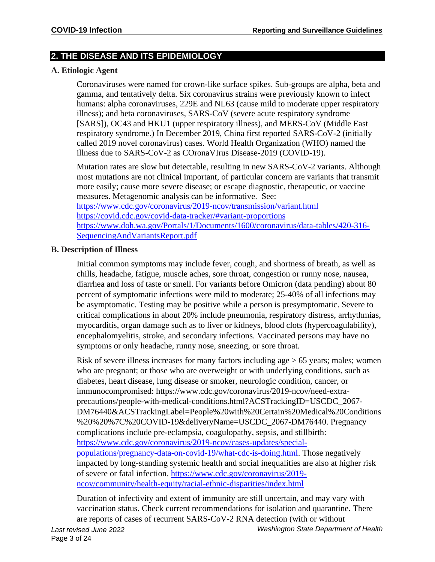# **2. THE DISEASE AND ITS EPIDEMIOLOGY**

#### **A. Etiologic Agent**

Coronaviruses were named for crown-like surface spikes. Sub-groups are alpha, beta and gamma, and tentatively delta. Six coronavirus strains were previously known to infect humans: alpha coronaviruses, 229E and NL63 (cause mild to moderate upper respiratory illness); and beta coronaviruses, SARS-CoV (severe acute respiratory syndrome [SARS]), OC43 and HKU1 (upper respiratory illness), and MERS-CoV (Middle East respiratory syndrome.) In December 2019, China first reported SARS-CoV-2 (initially called 2019 novel coronavirus) cases. World Health Organization (WHO) named the illness due to SARS-CoV-2 as COronaVIrus Disease-2019 (COVID-19).

Mutation rates are slow but detectable, resulting in new SARS-CoV-2 variants. Although most mutations are not clinical important, of particular concern are variants that transmit more easily; cause more severe disease; or escape diagnostic, therapeutic, or vaccine measures. Metagenomic analysis can be informative. See:

<https://www.cdc.gov/coronavirus/2019-ncov/transmission/variant.html> <https://covid.cdc.gov/covid-data-tracker/#variant-proportions> [https://www.doh.wa.gov/Portals/1/Documents/1600/coronavirus/data-tables/420-316-](https://www.doh.wa.gov/Portals/1/Documents/1600/coronavirus/data-tables/420-316-SequencingAndVariantsReport.pdf) [SequencingAndVariantsReport.pdf](https://www.doh.wa.gov/Portals/1/Documents/1600/coronavirus/data-tables/420-316-SequencingAndVariantsReport.pdf) 

#### **B. Description of Illness**

Initial common symptoms may include fever, cough, and shortness of breath, as well as chills, headache, fatigue, muscle aches, sore throat, congestion or runny nose, nausea, diarrhea and loss of taste or smell. For variants before Omicron (data pending) about 80 percent of symptomatic infections were mild to moderate; 25-40% of all infections may be asymptomatic. Testing may be positive while a person is presymptomatic. Severe to critical complications in about 20% include pneumonia, respiratory distress, arrhythmias, myocarditis, organ damage such as to liver or kidneys, blood clots (hypercoagulability), encephalomyelitis, stroke, and secondary infections. Vaccinated persons may have no symptoms or only headache, runny nose, sneezing, or sore throat.

Risk of severe illness increases for many factors including age > 65 years; males; women who are pregnant; or those who are overweight or with underlying conditions, such as diabetes, heart disease, lung disease or smoker, neurologic condition, cancer, or immunocompromised: https://www.cdc.gov/coronavirus/2019-ncov/need-extraprecautions/people-with-medical-conditions.html?ACSTrackingID=USCDC\_2067- DM76440&ACSTrackingLabel=People%20with%20Certain%20Medical%20Conditions %20%20%7C%20COVID-19&deliveryName=USCDC\_2067-DM76440. Pregnancy complications include pre-eclampsia, coagulopathy, sepsis, and stillbirth: [https://www.cdc.gov/coronavirus/2019-ncov/cases-updates/special](https://www.cdc.gov/coronavirus/2019-ncov/cases-updates/special-populations/pregnancy-data-on-covid-19/what-cdc-is-doing.html)[populations/pregnancy-data-on-covid-19/what-cdc-is-doing.html.](https://www.cdc.gov/coronavirus/2019-ncov/cases-updates/special-populations/pregnancy-data-on-covid-19/what-cdc-is-doing.html) Those negatively impacted by long-standing systemic health and social inequalities are also at higher risk of severe or fatal infection. [https://www.cdc.gov/coronavirus/2019](https://www.cdc.gov/coronavirus/2019-ncov/community/health-equity/racial-ethnic-disparities/index.html) [ncov/community/health-equity/racial-ethnic-disparities/index.html](https://www.cdc.gov/coronavirus/2019-ncov/community/health-equity/racial-ethnic-disparities/index.html)

Duration of infectivity and extent of immunity are still uncertain, and may vary with vaccination status. Check current recommendations for isolation and quarantine. There are reports of cases of recurrent SARS-CoV-2 RNA detection (with or without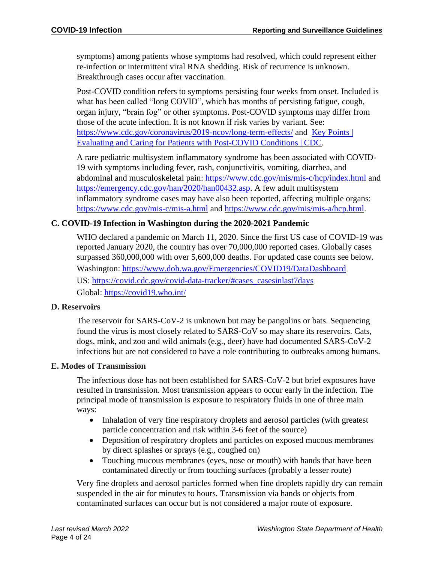symptoms) among patients whose symptoms had resolved, which could represent either re-infection or intermittent viral RNA shedding. Risk of recurrence is unknown. Breakthrough cases occur after vaccination.

Post-COVID condition refers to symptoms persisting four weeks from onset. Included is what has been called "long COVID", which has months of persisting fatigue, cough, organ injury, "brain fog" or other symptoms. Post-COVID symptoms may differ from those of the acute infection. It is not known if risk varies by variant. See: <https://www.cdc.gov/coronavirus/2019-ncov/long-term-effects/> and Key Points | [Evaluating and Caring for Patients with Post-COVID Conditions | CDC.](https://www.cdc.gov/coronavirus/2019-ncov/hcp/clinical-care/post-covid-index.html?ACSTrackingID=USCDC_1052-DM59745&ACSTrackingLabel=COCA%20Now%3A%20Evaluating%20and%20Caring%20for%20Patients%20with%20Post-COVID%20Conditions%3A%20%20Interim%20Guidance&deliveryName=USCDC_1052-DM59745)

A rare pediatric multisystem inflammatory syndrome has been associated with COVID-19 with symptoms including fever, rash, conjunctivitis, vomiting, diarrhea, and abdominal and musculoskeletal pain: <https://www.cdc.gov/mis/mis-c/hcp/index.html> and [https://emergency.cdc.gov/han/2020/han00432.asp.](https://emergency.cdc.gov/han/2020/han00432.asp) A few adult multisystem inflammatory syndrome cases may have also been reported, affecting multiple organs: <https://www.cdc.gov/mis-c/mis-a.html> and [https://www.cdc.gov/mis/mis-a/hcp.html.](https://www.cdc.gov/mis/mis-a/hcp.html)

#### **C. COVID-19 Infection in Washington during the 2020-2021 Pandemic**

WHO declared a pandemic on March 11, 2020. Since the first US case of COVID-19 was reported January 2020, the country has over 70,000,000 reported cases. Globally cases surpassed 360,000,000 with over 5,600,000 deaths. For updated case counts see below. Washington:<https://www.doh.wa.gov/Emergencies/COVID19/DataDashboard> US: [https://covid.cdc.gov/covid-data-tracker/#cases\\_casesinlast7days](https://covid.cdc.gov/covid-data-tracker/#cases_casesinlast7days) Global: <https://covid19.who.int/>

#### **D. Reservoirs**

The reservoir for SARS-CoV-2 is unknown but may be pangolins or bats. Sequencing found the virus is most closely related to SARS-CoV so may share its reservoirs. Cats, dogs, mink, and zoo and wild animals (e.g., deer) have had documented SARS-CoV-2 infections but are not considered to have a role contributing to outbreaks among humans.

#### **E. Modes of Transmission**

The infectious dose has not been established for SARS-CoV-2 but brief exposures have resulted in transmission. Most transmission appears to occur early in the infection. The principal mode of transmission is exposure to respiratory fluids in one of three main ways:

- Inhalation of very fine respiratory droplets and aerosol particles (with greatest particle concentration and risk within 3-6 feet of the source)
- Deposition of respiratory droplets and particles on exposed mucous membranes by direct splashes or sprays (e.g., coughed on)
- Touching mucous membranes (eyes, nose or mouth) with hands that have been contaminated directly or from touching surfaces (probably a lesser route)

Very fine droplets and aerosol particles formed when fine droplets rapidly dry can remain suspended in the air for minutes to hours. Transmission via hands or objects from contaminated surfaces can occur but is not considered a major route of exposure.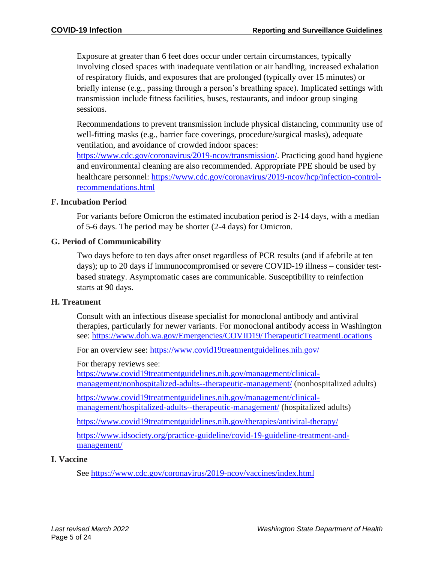Exposure at greater than 6 feet does occur under certain circumstances, typically involving closed spaces with inadequate ventilation or air handling, increased exhalation of respiratory fluids, and exposures that are prolonged (typically over 15 minutes) or briefly intense (e.g., passing through a person's breathing space). Implicated settings with transmission include fitness facilities, buses, restaurants, and indoor group singing sessions.

Recommendations to prevent transmission include physical distancing, community use of well-fitting masks (e.g., barrier face coverings, procedure/surgical masks), adequate ventilation, and avoidance of crowded indoor spaces:

[https://www.cdc.gov/coronavirus/2019-ncov/transmission/.](https://www.cdc.gov/coronavirus/2019-ncov/transmission/) Practicing good hand hygiene and environmental cleaning are also recommended. Appropriate PPE should be used by healthcare personnel: [https://www.cdc.gov/coronavirus/2019-ncov/hcp/infection-control](https://www.cdc.gov/coronavirus/2019-ncov/hcp/infection-control-recommendations.html)[recommendations.html](https://www.cdc.gov/coronavirus/2019-ncov/hcp/infection-control-recommendations.html)

#### **F. Incubation Period**

For variants before Omicron the estimated incubation period is 2-14 days, with a median of 5-6 days. The period may be shorter (2-4 days) for Omicron.

#### **G. Period of Communicability**

Two days before to ten days after onset regardless of PCR results (and if afebrile at ten days); up to 20 days if immunocompromised or severe COVID-19 illness – consider testbased strategy. Asymptomatic cases are communicable. Susceptibility to reinfection starts at 90 days.

#### **H. Treatment**

Consult with an infectious disease specialist for monoclonal antibody and antiviral therapies, particularly for newer variants. For monoclonal antibody access in Washington see: <https://www.doh.wa.gov/Emergencies/COVID19/TherapeuticTreatmentLocations>

For an overview see:<https://www.covid19treatmentguidelines.nih.gov/>

For therapy reviews see:

[https://www.covid19treatmentguidelines.nih.gov/management/clinical](https://www.covid19treatmentguidelines.nih.gov/management/clinical-management/nonhospitalized-adults--therapeutic-management/)[management/nonhospitalized-adults--therapeutic-management/](https://www.covid19treatmentguidelines.nih.gov/management/clinical-management/nonhospitalized-adults--therapeutic-management/) (nonhospitalized adults)

[https://www.covid19treatmentguidelines.nih.gov/management/clinical](https://www.covid19treatmentguidelines.nih.gov/management/clinical-management/hospitalized-adults--therapeutic-management/)[management/hospitalized-adults--therapeutic-management/](https://www.covid19treatmentguidelines.nih.gov/management/clinical-management/hospitalized-adults--therapeutic-management/) (hospitalized adults)

<https://www.covid19treatmentguidelines.nih.gov/therapies/antiviral-therapy/>

[https://www.idsociety.org/practice-guideline/covid-19-guideline-treatment-and](https://www.idsociety.org/practice-guideline/covid-19-guideline-treatment-and-management/)[management/](https://www.idsociety.org/practice-guideline/covid-19-guideline-treatment-and-management/)

#### **I. Vaccine**

See<https://www.cdc.gov/coronavirus/2019-ncov/vaccines/index.html>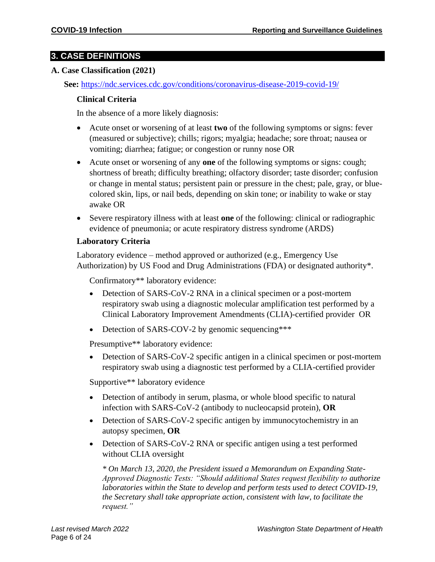# **3. CASE DEFINITIONS**

#### **A. Case Classification (2021)**

**See:** <https://ndc.services.cdc.gov/conditions/coronavirus-disease-2019-covid-19/>

#### **Clinical Criteria**

In the absence of a more likely diagnosis:

- Acute onset or worsening of at least **two** of the following symptoms or signs: fever (measured or subjective); chills; rigors; myalgia; headache; sore throat; nausea or vomiting; diarrhea; fatigue; or congestion or runny nose OR
- Acute onset or worsening of any **one** of the following symptoms or signs: cough; shortness of breath; difficulty breathing; olfactory disorder; taste disorder; confusion or change in mental status; persistent pain or pressure in the chest; pale, gray, or bluecolored skin, lips, or nail beds, depending on skin tone; or inability to wake or stay awake OR
- Severe respiratory illness with at least **one** of the following: clinical or radiographic evidence of pneumonia; or acute respiratory distress syndrome (ARDS)

#### **Laboratory Criteria**

Laboratory evidence – method approved or authorized (e.g., Emergency Use Authorization) by US Food and Drug Administrations (FDA) or designated authority\*.

Confirmatory\*\* laboratory evidence:

- Detection of SARS-CoV-2 RNA in a clinical specimen or a post-mortem respiratory swab using a diagnostic molecular amplification test performed by a Clinical Laboratory Improvement Amendments (CLIA)-certified provider OR
- Detection of SARS-COV-2 by genomic sequencing\*\*\*

Presumptive\*\* laboratory evidence:

• Detection of SARS-CoV-2 specific antigen in a clinical specimen or post-mortem respiratory swab using a diagnostic test performed by a CLIA-certified provider

Supportive\*\* laboratory evidence

- Detection of antibody in serum, plasma, or whole blood specific to natural infection with SARS-CoV-2 (antibody to nucleocapsid protein), **OR**
- Detection of SARS-CoV-2 specific antigen by immunocytochemistry in an autopsy specimen, **OR**
- Detection of SARS-CoV-2 RNA or specific antigen using a test performed without CLIA oversight

*\* On March 13, 2020, the President issued a Memorandum on Expanding State-Approved Diagnostic Tests: "Should additional States request flexibility to authorize laboratories within the State to develop and perform tests used to detect COVID-19, the Secretary shall take appropriate action, consistent with law, to facilitate the request."*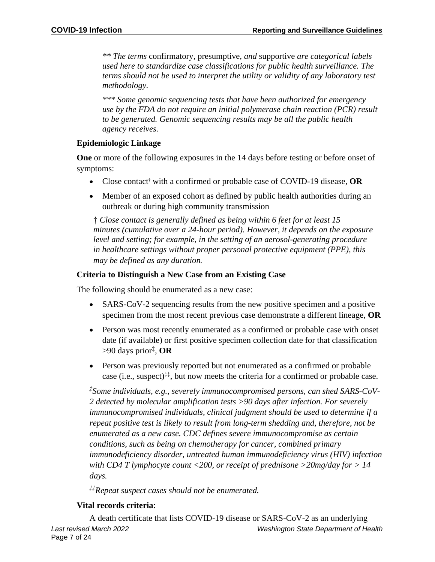*\*\* The terms* confirmatory*,* presumptive*, and* supportive *are categorical labels used here to standardize case classifications for public health surveillance. The terms should not be used to interpret the utility or validity of any laboratory test methodology.*

*\*\*\* Some genomic sequencing tests that have been authorized for emergency use by the FDA do not require an initial polymerase chain reaction (PCR) result to be generated. Genomic sequencing results may be all the public health agency receives.*

#### **Epidemiologic Linkage**

**One** or more of the following exposures in the 14 days before testing or before onset of symptoms:

- Close contact† with a confirmed or probable case of COVID-19 disease, **OR**
- Member of an exposed cohort as defined by public health authorities during an outbreak or during high community transmission

† *Close contact is generally defined as being within 6 feet for at least 15 minutes (cumulative over a 24-hour period). However, it depends on the exposure level and setting; for example, in the setting of an aerosol-generating procedure in healthcare settings without proper personal protective equipment (PPE), this may be defined as any duration.*

# **Criteria to Distinguish a New Case from an Existing Case**

The following should be enumerated as a new case:

- SARS-CoV-2 sequencing results from the new positive specimen and a positive specimen from the most recent previous case demonstrate a different lineage, **OR**
- Person was most recently enumerated as a confirmed or probable case with onset date (if available) or first positive specimen collection date for that classification >90 days prior‡ , **OR**
- Person was previously reported but not enumerated as a confirmed or probable case (i.e., suspect)<sup> $\ddagger\ddagger$ </sup>, but now meets the criteria for a confirmed or probable case.

*‡ Some individuals, e.g., severely immunocompromised persons, can shed SARS-CoV-2 detected by molecular amplification tests >90 days after infection. For severely immunocompromised individuals, clinical judgment should be used to determine if a repeat positive test is likely to result from long-term shedding and, therefore, not be enumerated as a new case. CDC defines severe immunocompromise as certain conditions, such as being on chemotherapy for cancer, combined primary immunodeficiency disorder, untreated human immunodeficiency virus (HIV) infection with CD4 T lymphocyte count <200, or receipt of prednisone >20mg/day for > 14 days.*

*‡‡Repeat suspect cases should not be enumerated.*

# **Vital records criteria**:

*Last revised March 2022 Washington State Department of Health* Page 7 of 24 A death certificate that lists COVID-19 disease or SARS-CoV-2 as an underlying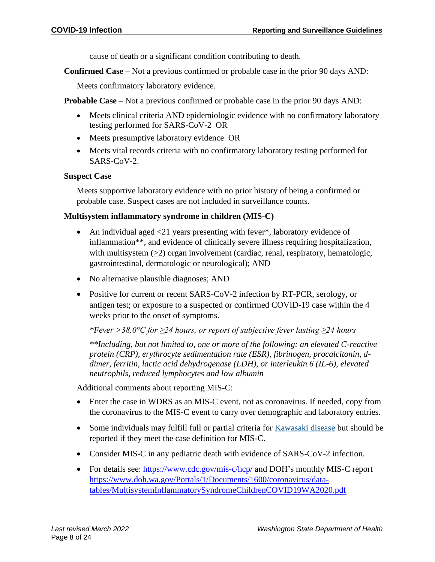cause of death or a significant condition contributing to death.

**Confirmed Case** – Not a previous confirmed or probable case in the prior 90 days AND:

Meets confirmatory laboratory evidence.

**Probable Case** – Not a previous confirmed or probable case in the prior 90 days AND:

- Meets clinical criteria AND epidemiologic evidence with no confirmatory laboratory testing performed for SARS-CoV-2 OR
- Meets presumptive laboratory evidence OR
- Meets vital records criteria with no confirmatory laboratory testing performed for SARS-CoV-2.

#### **Suspect Case**

Meets supportive laboratory evidence with no prior history of being a confirmed or probable case. Suspect cases are not included in surveillance counts.

#### **Multisystem inflammatory syndrome in children (MIS-C)**

- An individual aged <21 years presenting with fever\*, laboratory evidence of inflammation\*\*, and evidence of clinically severe illness requiring hospitalization, with multisystem (>2) organ involvement (cardiac, renal, respiratory, hematologic, gastrointestinal, dermatologic or neurological); AND
- No alternative plausible diagnoses; AND
- Positive for current or recent SARS-CoV-2 infection by RT-PCR, serology, or antigen test; or exposure to a suspected or confirmed COVID-19 case within the 4 weeks prior to the onset of symptoms.

*\*Fever >38.0°C for ≥24 hours, or report of subjective fever lasting ≥24 hours*

*\*\*Including, but not limited to, one or more of the following: an elevated C-reactive protein (CRP), erythrocyte sedimentation rate (ESR), fibrinogen, procalcitonin, ddimer, ferritin, lactic acid dehydrogenase (LDH), or interleukin 6 (IL-6), elevated neutrophils, reduced lymphocytes and low albumin*

Additional comments about reporting MIS-C:

- Enter the case in WDRS as an MIS-C event, not as coronavirus. If needed, copy from the coronavirus to the MIS-C event to carry over demographic and laboratory entries.
- Some individuals may fulfill full or partial criteria for [Kawasaki disease](https://www.cdc.gov/kawasaki/index.html) but should be reported if they meet the case definition for MIS-C.
- Consider MIS-C in any pediatric death with evidence of SARS-CoV-2 infection.
- For details see:<https://www.cdc.gov/mis-c/hcp/> and DOH's monthly MIS-C report [https://www.doh.wa.gov/Portals/1/Documents/1600/coronavirus/data](https://gcc02.safelinks.protection.outlook.com/?url=https%3A%2F%2Fwww.doh.wa.gov%2FPortals%2F1%2FDocuments%2F1600%2Fcoronavirus%2Fdata-tables%2FMultisystemInflammatorySyndromeChildrenCOVID19WA2020.pdf&data=04%7C01%7CMarcia.Goldoft%40DOH.WA.GOV%7Ceec8c3d6214b4f87534b08d910af3315%7C11d0e217264e400a8ba057dcc127d72d%7C0%7C0%7C637559166919593380%7CUnknown%7CTWFpbGZsb3d8eyJWIjoiMC4wLjAwMDAiLCJQIjoiV2luMzIiLCJBTiI6Ik1haWwiLCJXVCI6Mn0%3D%7C1000&sdata=bCY5Y3uEZRRctn3bCDkMhCtyL3V6WpAJ0DyZjBh5lXc%3D&reserved=0)[tables/MultisystemInflammatorySyndromeChildrenCOVID19WA2020.pdf](https://gcc02.safelinks.protection.outlook.com/?url=https%3A%2F%2Fwww.doh.wa.gov%2FPortals%2F1%2FDocuments%2F1600%2Fcoronavirus%2Fdata-tables%2FMultisystemInflammatorySyndromeChildrenCOVID19WA2020.pdf&data=04%7C01%7CMarcia.Goldoft%40DOH.WA.GOV%7Ceec8c3d6214b4f87534b08d910af3315%7C11d0e217264e400a8ba057dcc127d72d%7C0%7C0%7C637559166919593380%7CUnknown%7CTWFpbGZsb3d8eyJWIjoiMC4wLjAwMDAiLCJQIjoiV2luMzIiLCJBTiI6Ik1haWwiLCJXVCI6Mn0%3D%7C1000&sdata=bCY5Y3uEZRRctn3bCDkMhCtyL3V6WpAJ0DyZjBh5lXc%3D&reserved=0)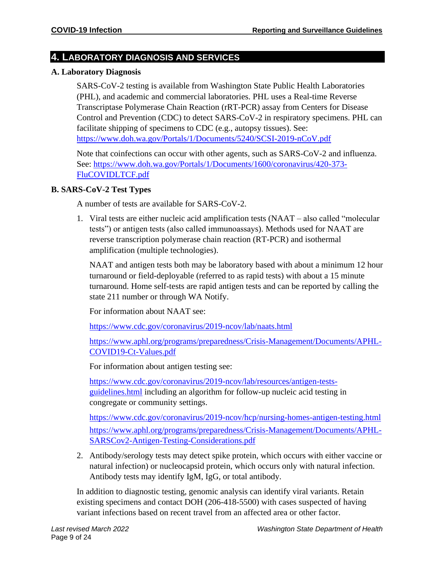# **4. LABORATORY DIAGNOSIS AND SERVICES**

#### **A. Laboratory Diagnosis**

SARS-CoV-2 testing is available from Washington State Public Health Laboratories (PHL), and academic and commercial laboratories. PHL uses a Real-time Reverse Transcriptase Polymerase Chain Reaction (rRT-PCR) assay from Centers for Disease Control and Prevention (CDC) to detect SARS-CoV-2 in respiratory specimens. PHL can facilitate shipping of specimens to CDC (e.g., autopsy tissues). See: <https://www.doh.wa.gov/Portals/1/Documents/5240/SCSI-2019-nCoV.pdf>

Note that coinfections can occur with other agents, such as SARS-CoV-2 and influenza. See: [https://www.doh.wa.gov/Portals/1/Documents/1600/coronavirus/420-373-](https://www.doh.wa.gov/Portals/1/Documents/1600/coronavirus/420-373-FluCOVIDLTCF.pdf) [FluCOVIDLTCF.pdf](https://www.doh.wa.gov/Portals/1/Documents/1600/coronavirus/420-373-FluCOVIDLTCF.pdf)

#### **B. SARS-CoV-2 Test Types**

A number of tests are available for SARS-CoV-2.

1. Viral tests are either nucleic acid amplification tests (NAAT – also called "molecular tests") or antigen tests (also called immunoassays). Methods used for NAAT are reverse transcription polymerase chain reaction (RT-PCR) and isothermal amplification (multiple technologies).

NAAT and antigen tests both may be laboratory based with about a minimum 12 hour turnaround or field-deployable (referred to as rapid tests) with about a 15 minute turnaround. Home self-tests are rapid antigen tests and can be reported by calling the state 211 number or through WA Notify.

For information about NAAT see:

<https://www.cdc.gov/coronavirus/2019-ncov/lab/naats.html>

[https://www.aphl.org/programs/preparedness/Crisis-Management/Documents/APHL-](https://www.aphl.org/programs/preparedness/Crisis-Management/Documents/APHL-COVID19-Ct-Values.pdf)[COVID19-Ct-Values.pdf](https://www.aphl.org/programs/preparedness/Crisis-Management/Documents/APHL-COVID19-Ct-Values.pdf)

For information about antigen testing see:

[https://www.cdc.gov/coronavirus/2019-ncov/lab/resources/antigen-tests](https://www.cdc.gov/coronavirus/2019-ncov/lab/resources/antigen-tests-guidelines.html)[guidelines.html](https://www.cdc.gov/coronavirus/2019-ncov/lab/resources/antigen-tests-guidelines.html) including an algorithm for follow-up nucleic acid testing in congregate or community settings.

<https://www.cdc.gov/coronavirus/2019-ncov/hcp/nursing-homes-antigen-testing.html> [https://www.aphl.org/programs/preparedness/Crisis-Management/Documents/APHL-](https://www.aphl.org/programs/preparedness/Crisis-Management/Documents/APHL-SARSCov2-Antigen-Testing-Considerations.pdf)[SARSCov2-Antigen-Testing-Considerations.pdf](https://www.aphl.org/programs/preparedness/Crisis-Management/Documents/APHL-SARSCov2-Antigen-Testing-Considerations.pdf)

2. Antibody/serology tests may detect spike protein, which occurs with either vaccine or natural infection) or nucleocapsid protein, which occurs only with natural infection. Antibody tests may identify IgM, IgG, or total antibody.

In addition to diagnostic testing, genomic analysis can identify viral variants. Retain existing specimens and contact DOH (206-418-5500) with cases suspected of having variant infections based on recent travel from an affected area or other factor.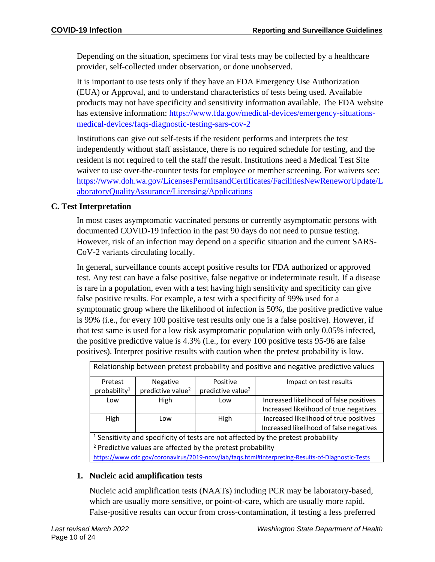Depending on the situation, specimens for viral tests may be collected by a healthcare provider, self-collected under observation, or done unobserved.

It is important to use tests only if they have an FDA Emergency Use Authorization (EUA) or Approval, and to understand characteristics of tests being used. Available products may not have specificity and sensitivity information available. The FDA website has extensive information: [https://www.fda.gov/medical-devices/emergency-situations](https://www.fda.gov/medical-devices/emergency-situations-medical-devices/faqs-diagnostic-testing-sars-cov-2)[medical-devices/faqs-diagnostic-testing-sars-cov-2](https://www.fda.gov/medical-devices/emergency-situations-medical-devices/faqs-diagnostic-testing-sars-cov-2)

Institutions can give out self-tests if the resident performs and interprets the test independently without staff assistance, there is no required schedule for testing, and the resident is not required to tell the staff the result. Institutions need a Medical Test Site waiver to use over-the-counter tests for employee or member screening. For waivers see: [https://www.doh.wa.gov/LicensesPermitsandCertificates/FacilitiesNewReneworUpdate/L](https://www.doh.wa.gov/LicensesPermitsandCertificates/FacilitiesNewReneworUpdate/LaboratoryQualityAssurance/Licensing/Applications) [aboratoryQualityAssurance/Licensing/Applications](https://www.doh.wa.gov/LicensesPermitsandCertificates/FacilitiesNewReneworUpdate/LaboratoryQualityAssurance/Licensing/Applications)

# **C. Test Interpretation**

In most cases asymptomatic vaccinated persons or currently asymptomatic persons with documented COVID-19 infection in the past 90 days do not need to pursue testing. However, risk of an infection may depend on a specific situation and the current SARS-CoV-2 variants circulating locally.

In general, surveillance counts accept positive results for FDA authorized or approved test. Any test can have a false positive, false negative or indeterminate result. If a disease is rare in a population, even with a test having high sensitivity and specificity can give false positive results. For example, a test with a specificity of 99% used for a symptomatic group where the likelihood of infection is 50%, the positive predictive value is 99% (i.e., for every 100 positive test results only one is a false positive). However, if that test same is used for a low risk asymptomatic population with only 0.05% infected, the positive predictive value is 4.3% (i.e., for every 100 positive tests 95-96 are false positives). Interpret positive results with caution when the pretest probability is low.

|                               |                               | Relationship between pretest probability and positive and negative predictive values |
|-------------------------------|-------------------------------|--------------------------------------------------------------------------------------|
| Negative                      | Positive                      | Impact on test results                                                               |
| predictive value <sup>2</sup> | predictive value <sup>2</sup> |                                                                                      |
| High                          | Low                           | Increased likelihood of false positives                                              |
|                               |                               | Increased likelihood of true negatives                                               |
| Low                           | High                          | Increased likelihood of true positives                                               |
|                               |                               | Increased likelihood of false negatives                                              |
|                               |                               |                                                                                      |

 $1$  Sensitivity and specificity of tests are not affected by the pretest probability <sup>2</sup> Predictive values are affected by the pretest probability <https://www.cdc.gov/coronavirus/2019-ncov/lab/faqs.html#Interpreting-Results-of-Diagnostic-Tests>

# **1. Nucleic acid amplification tests**

Nucleic acid amplification tests (NAATs) including PCR may be laboratory-based, which are usually more sensitive, or point-of-care, which are usually more rapid. False-positive results can occur from cross-contamination, if testing a less preferred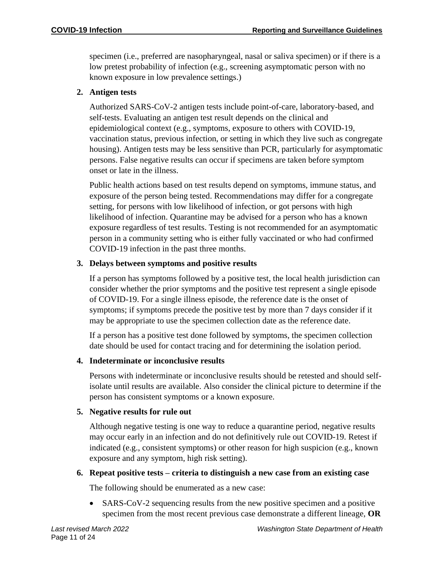specimen (i.e., preferred are nasopharyngeal, nasal or saliva specimen) or if there is a low pretest probability of infection (e.g., screening asymptomatic person with no known exposure in low prevalence settings.)

#### **2. Antigen tests**

Authorized SARS-CoV-2 antigen tests include point-of-care, laboratory-based, and self-tests. Evaluating an antigen test result depends on the clinical and epidemiological context (e.g., symptoms, exposure to others with COVID-19, vaccination status, previous infection, or setting in which they live such as congregate housing). Antigen tests may be less sensitive than PCR, particularly for asymptomatic persons. False negative results can occur if specimens are taken before symptom onset or late in the illness.

Public health actions based on test results depend on symptoms, immune status, and exposure of the person being tested. Recommendations may differ for a congregate setting, for persons with low likelihood of infection, or got persons with high likelihood of infection. Quarantine may be advised for a person who has a known exposure regardless of test results. Testing is not recommended for an asymptomatic person in a community setting who is either fully vaccinated or who had confirmed COVID-19 infection in the past three months.

#### **3. Delays between symptoms and positive results**

If a person has symptoms followed by a positive test, the local health jurisdiction can consider whether the prior symptoms and the positive test represent a single episode of COVID-19. For a single illness episode, the reference date is the onset of symptoms; if symptoms precede the positive test by more than 7 days consider if it may be appropriate to use the specimen collection date as the reference date.

If a person has a positive test done followed by symptoms, the specimen collection date should be used for contact tracing and for determining the isolation period.

#### **4. Indeterminate or inconclusive results**

Persons with indeterminate or inconclusive results should be retested and should selfisolate until results are available. Also consider the clinical picture to determine if the person has consistent symptoms or a known exposure.

#### **5. Negative results for rule out**

Although negative testing is one way to reduce a quarantine period, negative results may occur early in an infection and do not definitively rule out COVID-19. Retest if indicated (e.g., consistent symptoms) or other reason for high suspicion (e.g., known exposure and any symptom, high risk setting).

#### **6. Repeat positive tests – criteria to distinguish a new case from an existing case**

The following should be enumerated as a new case:

• SARS-CoV-2 sequencing results from the new positive specimen and a positive specimen from the most recent previous case demonstrate a different lineage, **OR**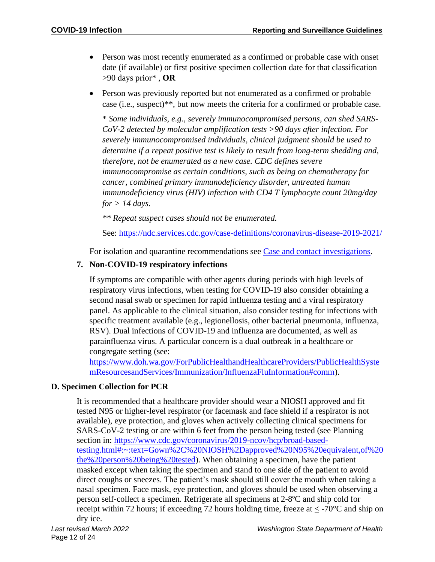- Person was most recently enumerated as a confirmed or probable case with onset date (if available) or first positive specimen collection date for that classification >90 days prior\* , **OR**
- Person was previously reported but not enumerated as a confirmed or probable case (i.e., suspect)\*\*, but now meets the criteria for a confirmed or probable case.

\* *Some individuals, e.g., severely immunocompromised persons, can shed SARS-CoV-2 detected by molecular amplification tests >90 days after infection. For severely immunocompromised individuals, clinical judgment should be used to determine if a repeat positive test is likely to result from long-term shedding and, therefore, not be enumerated as a new case. CDC defines severe immunocompromise as certain conditions, such as being on chemotherapy for cancer, combined primary immunodeficiency disorder, untreated human immunodeficiency virus (HIV) infection with CD4 T lymphocyte count 20mg/day for > 14 days.*

*\*\* Repeat suspect cases should not be enumerated.*

See:<https://ndc.services.cdc.gov/case-definitions/coronavirus-disease-2019-2021/>

For isolation and quarantine recommendations see [Case and contact investigations.](https://gcc02.safelinks.protection.outlook.com/?url=https%3A%2F%2Fwww.doh.wa.gov%2FPortals%2F1%2FDocuments%2F5100%2F420-107-Guidance-COVID-19-Case%26ContactInvestigation.pdf&data=04%7C01%7Channah.schnitzler%40doh.wa.gov%7Cd0be806b624949490ca808d8ee2e228e%7C11d0e217264e400a8ba057dcc127d72d%7C0%7C0%7C637521229197063884%7CUnknown%7CTWFpbGZsb3d8eyJWIjoiMC4wLjAwMDAiLCJQIjoiV2luMzIiLCJBTiI6Ik1haWwiLCJXVCI6Mn0%3D%7C1000&sdata=PYxrjHXYzaS%2FyLVYOqfYtnSaxGm%2Feo7lK3waU2BH6Os%3D&reserved=0)

#### **7. Non-COVID-19 respiratory infections**

If symptoms are compatible with other agents during periods with high levels of respiratory virus infections, when testing for COVID-19 also consider obtaining a second nasal swab or specimen for rapid influenza testing and a viral respiratory panel. As applicable to the clinical situation, also consider testing for infections with specific treatment available (e.g., legionellosis, other bacterial pneumonia, influenza, RSV). Dual infections of COVID-19 and influenza are documented, as well as parainfluenza virus. A particular concern is a dual outbreak in a healthcare or congregate setting (see:

[https://www.doh.wa.gov/ForPublicHealthandHealthcareProviders/PublicHealthSyste](https://www.doh.wa.gov/ForPublicHealthandHealthcareProviders/PublicHealthSystemResourcesandServices/Immunization/InfluenzaFluInformation#comm) [mResourcesandServices/Immunization/InfluenzaFluInformation#comm\)](https://www.doh.wa.gov/ForPublicHealthandHealthcareProviders/PublicHealthSystemResourcesandServices/Immunization/InfluenzaFluInformation#comm).

#### **D. Specimen Collection for PCR**

It is recommended that a healthcare provider should wear a NIOSH approved and fit tested N95 or higher-level respirator (or facemask and face shield if a respirator is not available), eye protection, and gloves when actively collecting clinical specimens for SARS-CoV-2 testing or are within 6 feet from the person being tested (see Planning section in: [https://www.cdc.gov/coronavirus/2019-ncov/hcp/broad-based](https://www.cdc.gov/coronavirus/2019-ncov/hcp/broad-based-testing.html#:~:text=Gown%2C%20NIOSH%2Dapproved%20N95%20equivalent,of%20the%20person%20being%20tested)[testing.html#:~:text=Gown%2C%20NIOSH%2Dapproved%20N95%20equivalent,of%20](https://www.cdc.gov/coronavirus/2019-ncov/hcp/broad-based-testing.html#:~:text=Gown%2C%20NIOSH%2Dapproved%20N95%20equivalent,of%20the%20person%20being%20tested) [the%20person%20being%20tested\)](https://www.cdc.gov/coronavirus/2019-ncov/hcp/broad-based-testing.html#:~:text=Gown%2C%20NIOSH%2Dapproved%20N95%20equivalent,of%20the%20person%20being%20tested). When obtaining a specimen, have the patient masked except when taking the specimen and stand to one side of the patient to avoid direct coughs or sneezes. The patient's mask should still cover the mouth when taking a nasal specimen. Face mask, eye protection, and gloves should be used when observing a person self-collect a specimen. Refrigerate all specimens at 2-8ºC and ship cold for receipt within 72 hours; if exceeding 72 hours holding time, freeze at  $\lt$  -70 $\degree$ C and ship on dry ice.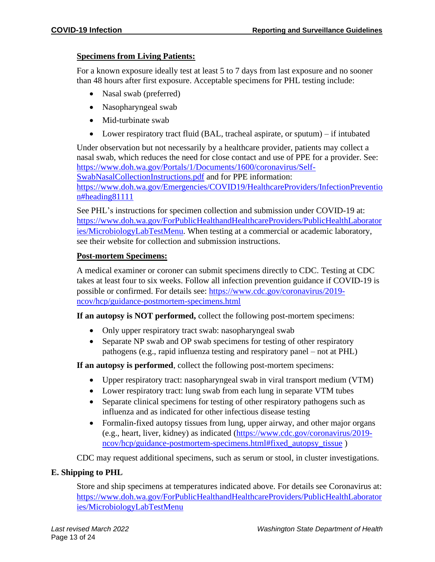#### **Specimens from Living Patients:**

For a known exposure ideally test at least 5 to 7 days from last exposure and no sooner than 48 hours after first exposure. Acceptable specimens for PHL testing include:

- Nasal swab (preferred)
- Nasopharyngeal swab
- Mid-turbinate swab
- Lower respiratory tract fluid (BAL, tracheal aspirate, or sputum) if intubated

Under observation but not necessarily by a healthcare provider, patients may collect a nasal swab, which reduces the need for close contact and use of PPE for a provider. See: [https://www.doh.wa.gov/Portals/1/Documents/1600/coronavirus/Self-](https://www.doh.wa.gov/Portals/1/Documents/1600/coronavirus/Self-SwabNasalCollectionInstructions.pdf)[SwabNasalCollectionInstructions.pdf](https://www.doh.wa.gov/Portals/1/Documents/1600/coronavirus/Self-SwabNasalCollectionInstructions.pdf) and for PPE information: [https://www.doh.wa.gov/Emergencies/COVID19/HealthcareProviders/InfectionPreventio](https://www.doh.wa.gov/Emergencies/COVID19/HealthcareProviders/InfectionPrevention#heading81111) [n#heading81111](https://www.doh.wa.gov/Emergencies/COVID19/HealthcareProviders/InfectionPrevention#heading81111)

See PHL's instructions for specimen collection and submission under COVID-19 at: [https://www.doh.wa.gov/ForPublicHealthandHealthcareProviders/PublicHealthLaborator](https://www.doh.wa.gov/ForPublicHealthandHealthcareProviders/PublicHealthLaboratories/MicrobiologyLabTestMenu) [ies/MicrobiologyLabTestMenu.](https://www.doh.wa.gov/ForPublicHealthandHealthcareProviders/PublicHealthLaboratories/MicrobiologyLabTestMenu) When testing at a commercial or academic laboratory, see their website for collection and submission instructions.

#### **Post-mortem Specimens:**

A medical examiner or coroner can submit specimens directly to CDC. Testing at CDC takes at least four to six weeks. Follow all infection prevention guidance if COVID-19 is possible or confirmed. For details see: [https://www.cdc.gov/coronavirus/2019](https://www.cdc.gov/coronavirus/2019-ncov/hcp/guidance-postmortem-specimens.html) [ncov/hcp/guidance-postmortem-specimens.html](https://www.cdc.gov/coronavirus/2019-ncov/hcp/guidance-postmortem-specimens.html)

**If an autopsy is NOT performed,** collect the following post-mortem specimens:

- Only upper respiratory tract swab: nasopharyngeal swab
- Separate NP swab and OP swab specimens for testing of other respiratory pathogens (e.g., rapid influenza testing and respiratory panel – not at PHL)

**If an autopsy is performed**, collect the following post-mortem specimens:

- Upper respiratory tract: nasopharyngeal swab in viral transport medium (VTM)
- Lower respiratory tract: lung swab from each lung in separate VTM tubes
- Separate clinical specimens for testing of other respiratory pathogens such as influenza and as indicated for other infectious disease testing
- Formalin-fixed autopsy tissues from lung, upper airway, and other major organs (e.g., heart, liver, kidney) as indicated [\(https://www.cdc.gov/coronavirus/2019](https://www.cdc.gov/coronavirus/2019-ncov/hcp/guidance-postmortem-specimens.html#fixed_autopsy_tissue) [ncov/hcp/guidance-postmortem-specimens.html#fixed\\_autopsy\\_tissue](https://www.cdc.gov/coronavirus/2019-ncov/hcp/guidance-postmortem-specimens.html#fixed_autopsy_tissue) )

CDC may request additional specimens, such as serum or stool, in cluster investigations.

#### **E. Shipping to PHL**

Store and ship specimens at temperatures indicated above. For details see Coronavirus at: [https://www.doh.wa.gov/ForPublicHealthandHealthcareProviders/PublicHealthLaborator](https://www.doh.wa.gov/ForPublicHealthandHealthcareProviders/PublicHealthLaboratories/MicrobiologyLabTestMenu) [ies/MicrobiologyLabTestMenu](https://www.doh.wa.gov/ForPublicHealthandHealthcareProviders/PublicHealthLaboratories/MicrobiologyLabTestMenu)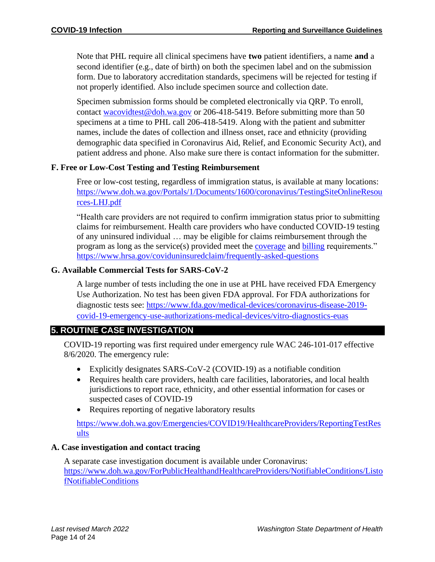Note that PHL require all clinical specimens have **two** patient identifiers, a name **and** a second identifier (e.g., date of birth) on both the specimen label and on the submission form. Due to laboratory accreditation standards, specimens will be rejected for testing if not properly identified. Also include specimen source and collection date.

Specimen submission forms should be completed electronically via QRP. To enroll, contact [wacovidtest@doh.wa.gov](mailto:wacovidtest@doh.wa.gov) or 206-418-5419. Before submitting more than 50 specimens at a time to PHL call 206-418-5419. Along with the patient and submitter names, include the dates of collection and illness onset, race and ethnicity (providing demographic data specified in Coronavirus Aid, Relief, and Economic Security Act), and patient address and phone. Also make sure there is contact information for the submitter.

#### **F. Free or Low-Cost Testing and Testing Reimbursement**

Free or low-cost testing, regardless of immigration status, is available at many locations: [https://www.doh.wa.gov/Portals/1/Documents/1600/coronavirus/TestingSiteOnlineResou](https://www.doh.wa.gov/Portals/1/Documents/1600/coronavirus/TestingSiteOnlineResources-LHJ.pdf) [rces-LHJ.pdf](https://www.doh.wa.gov/Portals/1/Documents/1600/coronavirus/TestingSiteOnlineResources-LHJ.pdf)

"Health care providers are not required to confirm immigration status prior to submitting claims for reimbursement. Health care providers who have conducted COVID-19 testing of any uninsured individual … may be eligible for claims reimbursement through the program as long as the service(s) provided meet the [coverage](https://coviduninsuredclaim.linkhealth.com/coverage-details.html) and [billing](https://coviduninsuredclaim.linkhealth.com/billing-codes.html) requirements." <https://www.hrsa.gov/coviduninsuredclaim/frequently-asked-questions>

#### **G. Available Commercial Tests for SARS-CoV-2**

A large number of tests including the one in use at PHL have received FDA Emergency Use Authorization. No test has been given FDA approval. For FDA authorizations for diagnostic tests see: [https://www.fda.gov/medical-devices/coronavirus-disease-2019](https://www.fda.gov/medical-devices/coronavirus-disease-2019-covid-19-emergency-use-authorizations-medical-devices/vitro-diagnostics-euas) [covid-19-emergency-use-authorizations-medical-devices/vitro-diagnostics-euas](https://www.fda.gov/medical-devices/coronavirus-disease-2019-covid-19-emergency-use-authorizations-medical-devices/vitro-diagnostics-euas)

# **5. ROUTINE CASE INVESTIGATION**

COVID-19 reporting was first required under emergency rule WAC 246-101-017 effective 8/6/2020. The emergency rule:

- Explicitly designates SARS-CoV-2 (COVID-19) as a notifiable condition
- Requires health care providers, health care facilities, laboratories, and local health jurisdictions to report race, ethnicity, and other essential information for cases or suspected cases of COVID-19
- Requires reporting of negative laboratory results

[https://www.doh.wa.gov/Emergencies/COVID19/HealthcareProviders/ReportingTestRes](https://www.doh.wa.gov/Emergencies/COVID19/HealthcareProviders/ReportingTestResults) [ults](https://www.doh.wa.gov/Emergencies/COVID19/HealthcareProviders/ReportingTestResults)

#### **A. Case investigation and contact tracing**

A separate case investigation document is available under Coronavirus: [https://www.doh.wa.gov/ForPublicHealthandHealthcareProviders/NotifiableConditions/Listo](https://www.doh.wa.gov/ForPublicHealthandHealthcareProviders/NotifiableConditions/ListofNotifiableConditions) [fNotifiableConditions](https://www.doh.wa.gov/ForPublicHealthandHealthcareProviders/NotifiableConditions/ListofNotifiableConditions)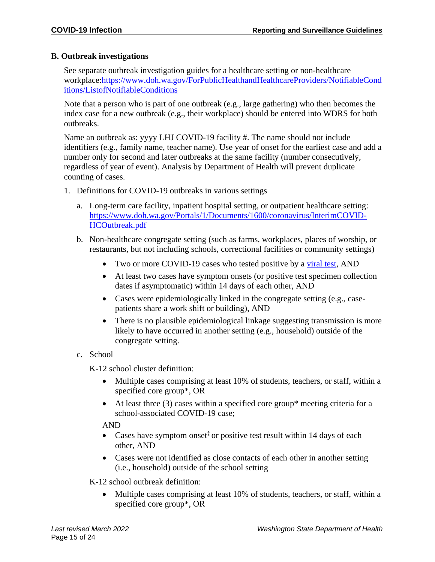#### **B. Outbreak investigations**

See separate outbreak investigation guides for a healthcare setting or non-healthcare workplace[:https://www.doh.wa.gov/ForPublicHealthandHealthcareProviders/NotifiableCond](https://www.doh.wa.gov/ForPublicHealthandHealthcareProviders/NotifiableConditions/ListofNotifiableConditions) [itions/ListofNotifiableConditions](https://www.doh.wa.gov/ForPublicHealthandHealthcareProviders/NotifiableConditions/ListofNotifiableConditions)

Note that a person who is part of one outbreak (e.g., large gathering) who then becomes the index case for a new outbreak (e.g., their workplace) should be entered into WDRS for both outbreaks.

Name an outbreak as: yyyy LHJ COVID-19 facility #. The name should not include identifiers (e.g., family name, teacher name). Use year of onset for the earliest case and add a number only for second and later outbreaks at the same facility (number consecutively, regardless of year of event). Analysis by Department of Health will prevent duplicate counting of cases.

- 1. Definitions for COVID-19 outbreaks in various settings
	- a. Long-term care facility, inpatient hospital setting, or outpatient healthcare setting: [https://www.doh.wa.gov/Portals/1/Documents/1600/coronavirus/InterimCOVID-](https://www.doh.wa.gov/Portals/1/Documents/1600/coronavirus/InterimCOVID-HCOutbreak.pdf)[HCOutbreak.pdf](https://www.doh.wa.gov/Portals/1/Documents/1600/coronavirus/InterimCOVID-HCOutbreak.pdf)
	- b. Non-healthcare congregate setting (such as farms, workplaces, places of worship, or restaurants, but not including schools, correctional facilities or community settings)
		- Two or more COVID-19 cases who tested positive by a [viral test,](https://www.cdc.gov/coronavirus/2019-ncov/symptoms-testing/testing.html) AND
		- At least two cases have symptom onsets (or positive test specimen collection dates if asymptomatic) within 14 days of each other, AND
		- Cases were epidemiologically linked in the congregate setting (e.g., casepatients share a work shift or building), AND
		- There is no plausible epidemiological linkage suggesting transmission is more likely to have occurred in another setting (e.g., household) outside of the congregate setting.
	- c. School

K-12 school cluster definition:

- Multiple cases comprising at least 10% of students, teachers, or staff, within a specified core group\*, OR
- At least three (3) cases within a specified core group\* meeting criteria for a school-associated COVID-19 case;

#### AND

- Cases have symptom onset<sup> $\ddagger$ </sup> or positive test result within 14 days of each other, AND
- Cases were not identified as close contacts of each other in another setting (i.e., household) outside of the school setting

K-12 school outbreak definition:

• Multiple cases comprising at least 10% of students, teachers, or staff, within a specified core group\*, OR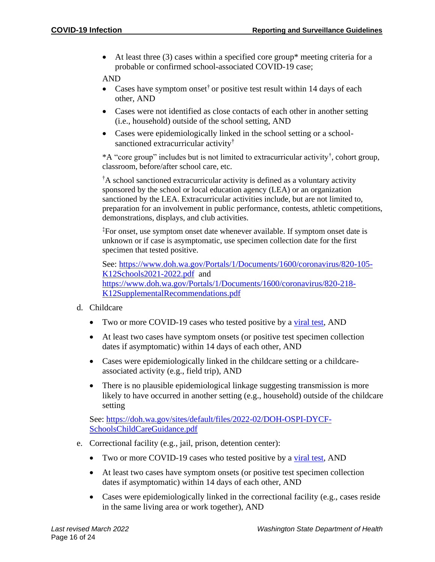• At least three  $(3)$  cases within a specified core group\* meeting criteria for a probable or confirmed school-associated COVID-19 case;

AND

- Cases have symptom onset<sup> $\dagger$ </sup> or positive test result within 14 days of each other, AND
- Cases were not identified as close contacts of each other in another setting (i.e., household) outside of the school setting, AND
- Cases were epidemiologically linked in the school setting or a schoolsanctioned extracurricular activity†

\*A "core group" includes but is not limited to extracurricular activity† , cohort group, classroom, before/after school care, etc.

†A school sanctioned extracurricular activity is defined as a voluntary activity sponsored by the school or local education agency (LEA) or an organization sanctioned by the LEA. Extracurricular activities include, but are not limited to, preparation for an involvement in public performance, contests, athletic competitions, demonstrations, displays, and club activities.

<sup>‡</sup>For onset, use symptom onset date whenever available. If symptom onset date is unknown or if case is asymptomatic, use specimen collection date for the first specimen that tested positive.

See: [https://www.doh.wa.gov/Portals/1/Documents/1600/coronavirus/820-105-](https://www.doh.wa.gov/Portals/1/Documents/1600/coronavirus/820-105-K12Schools2021-2022.pdf) [K12Schools2021-2022.pdf](https://www.doh.wa.gov/Portals/1/Documents/1600/coronavirus/820-105-K12Schools2021-2022.pdf) and [https://www.doh.wa.gov/Portals/1/Documents/1600/coronavirus/820-218-](https://www.doh.wa.gov/Portals/1/Documents/1600/coronavirus/820-218-K12SupplementalRecommendations.pdf) [K12SupplementalRecommendations.pdf](https://www.doh.wa.gov/Portals/1/Documents/1600/coronavirus/820-218-K12SupplementalRecommendations.pdf)

- d. Childcare
	- Two or more COVID-19 cases who tested positive by a [viral test,](https://www.cdc.gov/coronavirus/2019-ncov/symptoms-testing/testing.html) AND
	- At least two cases have symptom onsets (or positive test specimen collection dates if asymptomatic) within 14 days of each other, AND
	- Cases were epidemiologically linked in the childcare setting or a childcareassociated activity (e.g., field trip), AND
	- There is no plausible epidemiological linkage suggesting transmission is more likely to have occurred in another setting (e.g., household) outside of the childcare setting

See: [https://doh.wa.gov/sites/default/files/2022-02/DOH-OSPI-DYCF-](https://doh.wa.gov/sites/default/files/2022-02/DOH-OSPI-DYCF-SchoolsChildCareGuidance.pdf)[SchoolsChildCareGuidance.pdf](https://doh.wa.gov/sites/default/files/2022-02/DOH-OSPI-DYCF-SchoolsChildCareGuidance.pdf)

- e. Correctional facility (e.g., jail, prison, detention center):
	- Two or more COVID-19 cases who tested positive by a [viral test,](https://www.cdc.gov/coronavirus/2019-ncov/symptoms-testing/testing.html) AND
	- At least two cases have symptom onsets (or positive test specimen collection dates if asymptomatic) within 14 days of each other, AND
	- Cases were epidemiologically linked in the correctional facility (e.g., cases reside in the same living area or work together), AND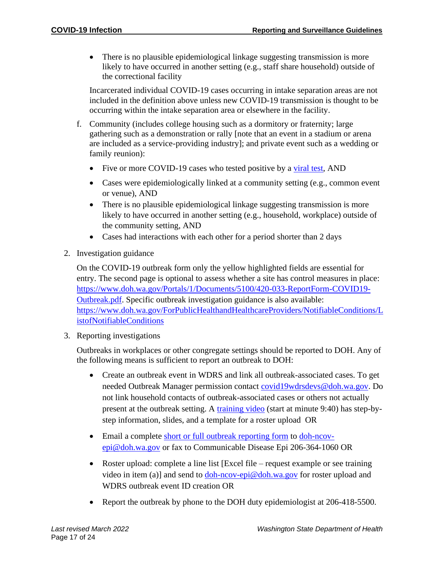• There is no plausible epidemiological linkage suggesting transmission is more likely to have occurred in another setting (e.g., staff share household) outside of the correctional facility

Incarcerated individual COVID-19 cases occurring in intake separation areas are not included in the definition above unless new COVID-19 transmission is thought to be occurring within the intake separation area or elsewhere in the facility.

- f. Community (includes college housing such as a dormitory or fraternity; large gathering such as a demonstration or rally [note that an event in a stadium or arena are included as a service-providing industry]; and private event such as a wedding or family reunion):
	- Five or more COVID-19 cases who tested positive by a [viral test,](https://www.cdc.gov/coronavirus/2019-ncov/symptoms-testing/testing.html) AND
	- Cases were epidemiologically linked at a community setting (e.g., common event or venue), AND
	- There is no plausible epidemiological linkage suggesting transmission is more likely to have occurred in another setting (e.g., household, workplace) outside of the community setting, AND
	- Cases had interactions with each other for a period shorter than 2 days
- 2. Investigation guidance

On the COVID-19 outbreak form only the yellow highlighted fields are essential for entry. The second page is optional to assess whether a site has control measures in place: [https://www.doh.wa.gov/Portals/1/Documents/5100/420-033-ReportForm-COVID19-](https://www.doh.wa.gov/Portals/1/Documents/5100/420-033-ReportForm-COVID19-Outbreak.pdf) [Outbreak.pdf.](https://www.doh.wa.gov/Portals/1/Documents/5100/420-033-ReportForm-COVID19-Outbreak.pdf) Specific outbreak investigation guidance is also available: [https://www.doh.wa.gov/ForPublicHealthandHealthcareProviders/NotifiableConditions/L](https://www.doh.wa.gov/ForPublicHealthandHealthcareProviders/NotifiableConditions/ListofNotifiableConditions) [istofNotifiableConditions](https://www.doh.wa.gov/ForPublicHealthandHealthcareProviders/NotifiableConditions/ListofNotifiableConditions)

3. Reporting investigations

Outbreaks in workplaces or other congregate settings should be reported to DOH. Any of the following means is sufficient to report an outbreak to DOH:

- Create an outbreak event in WDRS and link all outbreak-associated cases. To get needed Outbreak Manager permission contact [covid19wdrsdevs@doh.wa.gov.](mailto:covid19wdrsdevs@doh.wa.gov) Do not link household contacts of outbreak-associated cases or others not actually present at the outbreak setting. A [training video](https://lnks.gd/l/eyJhbGciOiJIUzI1NiJ9.eyJidWxsZXRpbl9saW5rX2lkIjoxMDAsInVyaSI6ImJwMjpjbGljayIsImJ1bGxldGluX2lkIjoiMjAyMDA3MjIuMjQ3Mjc2NzEiLCJ1cmwiOiJodHRwczovL3JlZ2lzdGVyLmdvdG93ZWJpbmFyLmNvbS9yZWNvcmRpbmcvNDg1MDg1NDM5NDg0OTUzNzU1MiJ9.lb9LjF54hRUcexlc3RQEsJ6skJZWA6BG_SHmNbceHpo/s/679457365/br/81358389291-l) (start at minute 9:40) has step-bystep information, slides, and a template for a roster upload OR
- Email a complete [short or full outbreak reporting form](https://www.doh.wa.gov/ForPublicHealthandHealthcareProviders/NotifiableConditions/ListofNotifiableConditions) to [doh-ncov](mailto:doh-ncov-epi@doh.wa.gov)[epi@doh.wa.gov](mailto:doh-ncov-epi@doh.wa.gov) or fax to Communicable Disease Epi 206-364-1060 OR
- Roster upload: complete a line list [Excel file request example or see training video in item (a)] and send to  $d_{\rm ob-ncov\text{-}epi}\textcircled{a}$  doh.wa.gov for roster upload and WDRS outbreak event ID creation OR
- Report the outbreak by phone to the DOH duty epidemiologist at 206-418-5500.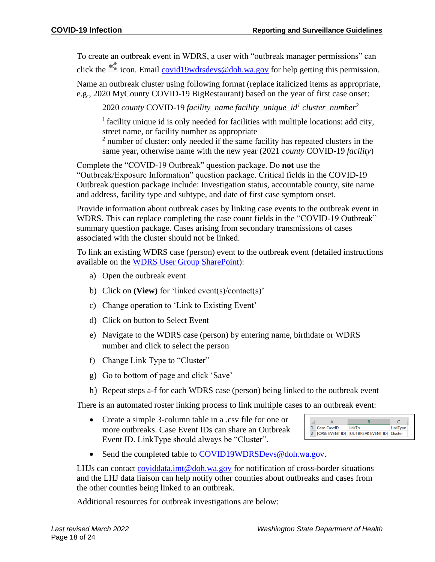To create an outbreak event in WDRS, a user with "outbreak manager permissions" can click the  $\leq$  icon. Email [covid19wdrsdevs@doh.wa.gov](mailto:covid19wdrsdevs@doh.wa.gov) for help getting this permission.

Name an outbreak cluster using following format (replace italicized items as appropriate, e.g., 2020 MyCounty COVID-19 BigRestaurant) based on the year of first case onset:

2020 *county* COVID-19 *facility\_name facility\_unique\_id<sup>1</sup> cluster\_number<sup>2</sup>*

 $<sup>1</sup>$  facility unique id is only needed for facilities with multiple locations: add city,</sup> street name, or facility number as appropriate

<sup>2</sup> number of cluster: only needed if the same facility has repeated clusters in the same year, otherwise name with the new year (2021 *county* COVID-19 *facility*)

Complete the "COVID-19 Outbreak" question package. Do **not** use the "Outbreak/Exposure Information" question package. Critical fields in the COVID-19 Outbreak question package include: Investigation status, accountable county, site name and address, facility type and subtype, and date of first case symptom onset.

Provide information about outbreak cases by linking case events to the outbreak event in WDRS. This can replace completing the case count fields in the "COVID-19 Outbreak" summary question package. Cases arising from secondary transmissions of cases associated with the cluster should not be linked.

To link an existing WDRS case (person) event to the outbreak event (detailed instructions available on the [WDRS User Group SharePoint\)](https://doh.sp.wa.gov/sites/EXT/wdrsuser/Documents/Linking%20cases%20in%20WDRS%20step%20by%20step_07082020.pdf):

- a) Open the outbreak event
- b) Click on **(View)** for 'linked event(s)/contact(s)'
- c) Change operation to 'Link to Existing Event'
- d) Click on button to Select Event
- e) Navigate to the WDRS case (person) by entering name, birthdate or WDRS number and click to select the person
- f) Change Link Type to "Cluster"
- g) Go to bottom of page and click 'Save'
- h) Repeat steps a-f for each WDRS case (person) being linked to the outbreak event

There is an automated roster linking process to link multiple cases to an outbreak event:

• Create a simple 3-column table in a .csv file for one or more outbreaks. Case Event IDs can share an Outbreak Event ID. LinkType should always be "Cluster".

| Case.CaseID | LinkTo                                      | LinkType |
|-------------|---------------------------------------------|----------|
|             | [CASE EVENT ID] [OUTBREAK EVENT ID] Cluster |          |

• Send the completed table to [COVID19WDRSDevs@doh.wa.gov.](mailto:COVID19WDRSDevs@doh.wa.gov)

LHJs can contact [coviddata.imt@doh.wa.gov](mailto:coviddata.imt@doh.wa.gov) for notification of cross-border situations and the LHJ data liaison can help notify other counties about outbreaks and cases from the other counties being linked to an outbreak.

Additional resources for outbreak investigations are below: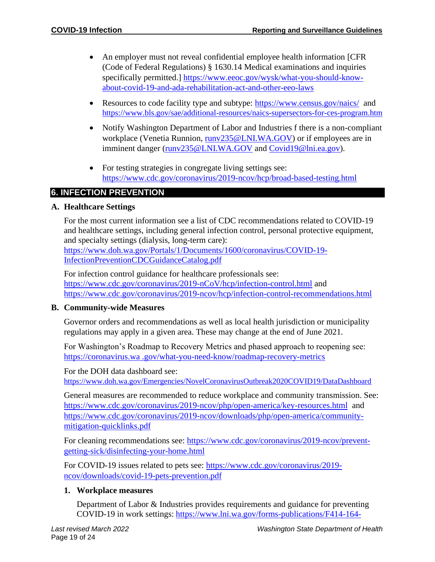- An employer must not reveal confidential employee health information [CFR (Code of Federal Regulations) § 1630.14 Medical examinations and inquiries specifically permitted.] [https://www.eeoc.gov/wysk/what-you-should-know](https://www.eeoc.gov/wysk/what-you-should-know-about-covid-19-and-ada-rehabilitation-act-and-other-eeo-laws)[about-covid-19-and-ada-rehabilitation-act-and-other-eeo-laws](https://www.eeoc.gov/wysk/what-you-should-know-about-covid-19-and-ada-rehabilitation-act-and-other-eeo-laws)
- Resources to code facility type and subtype: <https://www.census.gov/naics/> and <https://www.bls.gov/sae/additional-resources/naics-supersectors-for-ces-program.htm>
- Notify Washington Department of Labor and Industries f there is a non-compliant workplace (Venetia Runnion, [runv235@LNI.WA.GOV\)](mailto:runv235@LNI.WA.GOV) or if employees are in imminent danger [\(runv235@LNI.WA.GOV](mailto:runv235@LNI.WA.GOV) and [Covid19@lni.ea.gov\)](mailto:Covid19@lni.ea.gov).
- For testing strategies in congregate living settings see: <https://www.cdc.gov/coronavirus/2019-ncov/hcp/broad-based-testing.html>

# **6. INFECTION PREVENTION**

#### **A. Healthcare Settings**

For the most current information see a list of CDC recommendations related to COVID-19 and healthcare settings, including general infection control, personal protective equipment, and specialty settings (dialysis, long-term care):

[https://www.doh.wa.gov/Portals/1/Documents/1600/coronavirus/COVID-19-](https://www.doh.wa.gov/Portals/1/Documents/1600/coronavirus/COVID-19-InfectionPreventionCDCGuidanceCatalog.pdf) [InfectionPreventionCDCGuidanceCatalog.pdf](https://www.doh.wa.gov/Portals/1/Documents/1600/coronavirus/COVID-19-InfectionPreventionCDCGuidanceCatalog.pdf)

For infection control guidance for healthcare professionals see: <https://www.cdc.gov/coronavirus/2019-nCoV/hcp/infection-control.html> and <https://www.cdc.gov/coronavirus/2019-ncov/hcp/infection-control-recommendations.html>

#### **B. Community-wide Measures**

Governor orders and recommendations as well as local health jurisdiction or municipality regulations may apply in a given area. These may change at the end of June 2021.

For Washington's Roadmap to Recovery Metrics and phased approach to reopening see: https://coronavirus.wa .gov/what-you-need-know/roadmap-recovery-metrics

For the DOH data dashboard see:

<https://www.doh.wa.gov/Emergencies/NovelCoronavirusOutbreak2020COVID19/DataDashboard>

General measures are recommended to reduce workplace and community transmission. See: <https://www.cdc.gov/coronavirus/2019-ncov/php/open-america/key-resources.html>and [https://www.cdc.gov/coronavirus/2019-ncov/downloads/php/open-america/community](https://www.cdc.gov/coronavirus/2019-ncov/downloads/php/open-america/community-mitigation-quicklinks.pdf)[mitigation-quicklinks.pdf](https://www.cdc.gov/coronavirus/2019-ncov/downloads/php/open-america/community-mitigation-quicklinks.pdf)

For cleaning recommendations see: [https://www.cdc.gov/coronavirus/2019-ncov/prevent](https://www.cdc.gov/coronavirus/2019-ncov/prevent-getting-sick/disinfecting-your-home.html)[getting-sick/disinfecting-your-home.html](https://www.cdc.gov/coronavirus/2019-ncov/prevent-getting-sick/disinfecting-your-home.html)

For COVID-19 issues related to pets see: [https://www.cdc.gov/coronavirus/2019](https://www.cdc.gov/coronavirus/2019-ncov/downloads/covid-19-pets-prevention.pdf) [ncov/downloads/covid-19-pets-prevention.pdf](https://www.cdc.gov/coronavirus/2019-ncov/downloads/covid-19-pets-prevention.pdf)

#### **1. Workplace measures**

Department of Labor & Industries provides requirements and guidance for preventing COVID-19 in work settings: [https://www.lni.wa.gov/forms-publications/F414-164-](https://www.lni.wa.gov/forms-publications/F414-164-000.pdf)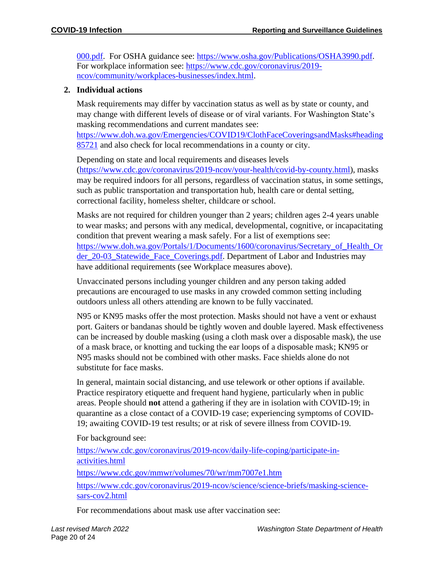[000.pdf.](https://www.lni.wa.gov/forms-publications/F414-164-000.pdf) For OSHA guidance see: [https://www.osha.gov/Publications/OSHA3990.pdf.](https://www.osha.gov/Publications/OSHA3990.pdf) For workplace information see: [https://www.cdc.gov/coronavirus/2019](https://www.cdc.gov/coronavirus/2019-ncov/community/workplaces-businesses/index.html) [ncov/community/workplaces-businesses/index.html.](https://www.cdc.gov/coronavirus/2019-ncov/community/workplaces-businesses/index.html)

#### **2. Individual actions**

Mask requirements may differ by vaccination status as well as by state or county, and may change with different levels of disease or of viral variants. For Washington State's masking recommendations and current mandates see:

[https://www.doh.wa.gov/Emergencies/COVID19/ClothFaceCoveringsandMasks#heading](https://www.doh.wa.gov/Emergencies/COVID19/ClothFaceCoveringsandMasks#heading85721) [85721](https://www.doh.wa.gov/Emergencies/COVID19/ClothFaceCoveringsandMasks#heading85721) and also check for local recommendations in a county or city.

Depending on state and local requirements and diseases levels [\(https://www.cdc.gov/coronavirus/2019-ncov/your-health/covid-by-county.html\)](https://www.cdc.gov/coronavirus/2019-ncov/your-health/covid-by-county.html), masks may be required indoors for all persons, regardless of vaccination status, in some settings, such as public transportation and transportation hub, health care or dental setting, correctional facility, homeless shelter, childcare or school.

Masks are not required for children younger than 2 years; children ages 2-4 years unable to wear masks; and persons with any medical, developmental, cognitive, or incapacitating condition that prevent wearing a mask safely. For a list of exemptions see: [https://www.doh.wa.gov/Portals/1/Documents/1600/coronavirus/Secretary\\_of\\_Health\\_Or](https://www.doh.wa.gov/Portals/1/Documents/1600/coronavirus/Secretary_of_Health_Order_20-03_Statewide_Face_Coverings.pdf) [der\\_20-03\\_Statewide\\_Face\\_Coverings.pdf.](https://www.doh.wa.gov/Portals/1/Documents/1600/coronavirus/Secretary_of_Health_Order_20-03_Statewide_Face_Coverings.pdf) Department of Labor and Industries may have additional requirements (see Workplace measures above).

Unvaccinated persons including younger children and any person taking added precautions are encouraged to use masks in any crowded common setting including outdoors unless all others attending are known to be fully vaccinated.

N95 or KN95 masks offer the most protection. Masks should not have a vent or exhaust port. Gaiters or bandanas should be tightly woven and double layered. Mask effectiveness can be increased by double masking (using a cloth mask over a disposable mask), the use of a mask brace, or knotting and tucking the ear loops of a disposable mask; KN95 or N95 masks should not be combined with other masks. Face shields alone do not substitute for face masks.

In general, maintain social distancing, and use telework or other options if available. Practice respiratory etiquette and frequent hand hygiene, particularly when in public areas. People should **not** attend a gathering if they are in isolation with COVID-19; in quarantine as a close contact of a COVID-19 case; experiencing symptoms of COVID-19; awaiting COVID-19 test results; or at risk of severe illness from COVID-19.

For background see:

[https://www.cdc.gov/coronavirus/2019-ncov/daily-life-coping/participate-in](https://www.cdc.gov/coronavirus/2019-ncov/daily-life-coping/participate-in-activities.html)[activities.html](https://www.cdc.gov/coronavirus/2019-ncov/daily-life-coping/participate-in-activities.html) <https://www.cdc.gov/mmwr/volumes/70/wr/mm7007e1.htm> [https://www.cdc.gov/coronavirus/2019-ncov/science/science-briefs/masking-science](https://www.cdc.gov/coronavirus/2019-ncov/science/science-briefs/masking-science-sars-cov2.html)[sars-cov2.html](https://www.cdc.gov/coronavirus/2019-ncov/science/science-briefs/masking-science-sars-cov2.html)

For recommendations about mask use after vaccination see: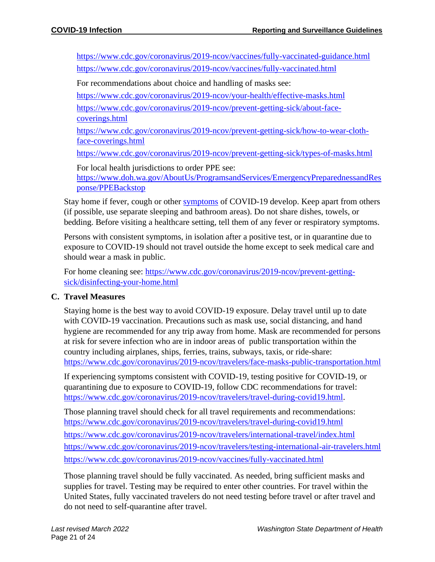<https://www.cdc.gov/coronavirus/2019-ncov/vaccines/fully-vaccinated-guidance.html> <https://www.cdc.gov/coronavirus/2019-ncov/vaccines/fully-vaccinated.html>

For recommendations about choice and handling of masks see:

<https://www.cdc.gov/coronavirus/2019-ncov/your-health/effective-masks.html>

[https://www.cdc.gov/coronavirus/2019-ncov/prevent-getting-sick/about-face](https://www.cdc.gov/coronavirus/2019-ncov/prevent-getting-sick/about-face-coverings.html)[coverings.html](https://www.cdc.gov/coronavirus/2019-ncov/prevent-getting-sick/about-face-coverings.html)

[https://www.cdc.gov/coronavirus/2019-ncov/prevent-getting-sick/how-to-wear-cloth](https://www.cdc.gov/coronavirus/2019-ncov/prevent-getting-sick/how-to-wear-cloth-face-coverings.html)[face-coverings.html](https://www.cdc.gov/coronavirus/2019-ncov/prevent-getting-sick/how-to-wear-cloth-face-coverings.html)

<https://www.cdc.gov/coronavirus/2019-ncov/prevent-getting-sick/types-of-masks.html>

For local health jurisdictions to order PPE see: [https://www.doh.wa.gov/AboutUs/ProgramsandServices/EmergencyPreparednessandRes](https://www.doh.wa.gov/AboutUs/ProgramsandServices/EmergencyPreparednessandResponse/PPEBackstop) [ponse/PPEBackstop](https://www.doh.wa.gov/AboutUs/ProgramsandServices/EmergencyPreparednessandResponse/PPEBackstop)

Stay home if fever, cough or other [symptoms](https://www.cdc.gov/coronavirus/2019-ncov/symptoms-testing/symptoms.html) of COVID-19 develop. Keep apart from others (if possible, use separate sleeping and bathroom areas). Do not share dishes, towels, or bedding. Before visiting a healthcare setting, tell them of any fever or respiratory symptoms.

Persons with consistent symptoms, in isolation after a positive test, or in quarantine due to exposure to COVID-19 should not travel outside the home except to seek medical care and should wear a mask in public.

For home cleaning see: [https://www.cdc.gov/coronavirus/2019-ncov/prevent-getting](https://www.cdc.gov/coronavirus/2019-ncov/prevent-getting-sick/disinfecting-your-home.html)[sick/disinfecting-your-home.html](https://www.cdc.gov/coronavirus/2019-ncov/prevent-getting-sick/disinfecting-your-home.html)

#### **C. Travel Measures**

Staying home is the best way to avoid COVID-19 exposure. Delay travel until up to date with COVID-19 vaccination. Precautions such as mask use, social distancing, and hand hygiene are recommended for any trip away from home. Mask are recommended for persons at risk for severe infection who are in indoor areas of public transportation within the country including airplanes, ships, ferries, trains, subways, taxis, or ride-share: <https://www.cdc.gov/coronavirus/2019-ncov/travelers/face-masks-public-transportation.html>

If experiencing symptoms consistent with COVID-19, testing positive for COVID-19, or quarantining due to exposure to COVID-19, follow CDC recommendations for travel: [https://www.cdc.gov/coronavirus/2019-ncov/travelers/travel-during-covid19.html.](https://www.cdc.gov/coronavirus/2019-ncov/travelers/travel-during-covid19.html)

Those planning travel should check for all travel requirements and recommendations: <https://www.cdc.gov/coronavirus/2019-ncov/travelers/travel-during-covid19.html> <https://www.cdc.gov/coronavirus/2019-ncov/travelers/international-travel/index.html> <https://www.cdc.gov/coronavirus/2019-ncov/travelers/testing-international-air-travelers.html> <https://www.cdc.gov/coronavirus/2019-ncov/vaccines/fully-vaccinated.html>

Those planning travel should be fully vaccinated. As needed, bring sufficient masks and supplies for travel. Testing may be required to enter other countries. For travel within the United States, fully vaccinated travelers do not need testing before travel or after travel and do not need to self-quarantine after travel.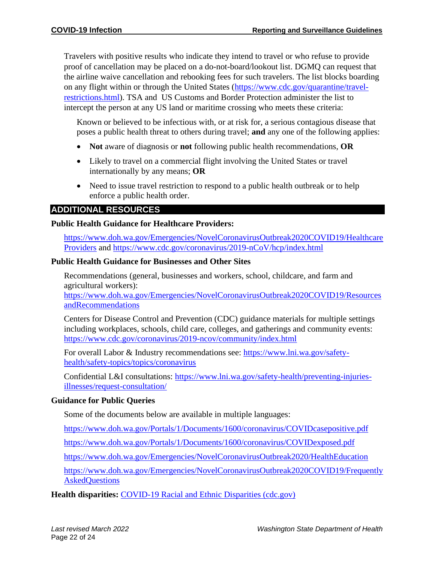Travelers with positive results who indicate they intend to travel or who refuse to provide proof of cancellation may be placed on a do-not-board/lookout list. DGMQ can request that the airline waive cancellation and rebooking fees for such travelers. The list blocks boarding on any flight within or through the United States [\(https://www.cdc.gov/quarantine/travel](https://www.cdc.gov/quarantine/travel-restrictions.html)[restrictions.html\)](https://www.cdc.gov/quarantine/travel-restrictions.html). TSA and US Customs and Border Protection administer the list to intercept the person at any US land or maritime crossing who meets these criteria:

Known or believed to be infectious with, or at risk for, a serious contagious disease that poses a public health threat to others during travel; **and** any one of the following applies:

- **Not** aware of diagnosis or **not** following public health recommendations, **OR**
- Likely to travel on a commercial flight involving the United States or travel internationally by any means; **OR**
- Need to issue travel restriction to respond to a public health outbreak or to help enforce a public health order.

# **ADDITIONAL RESOURCES**

#### **Public Health Guidance for Healthcare Providers:**

[https://www.doh.wa.gov/Emergencies/NovelCoronavirusOutbreak2020COVID19/Healthcare](https://www.doh.wa.gov/Emergencies/NovelCoronavirusOutbreak2020COVID19/HealthcareProviders) [Providers](https://www.doh.wa.gov/Emergencies/NovelCoronavirusOutbreak2020COVID19/HealthcareProviders) and<https://www.cdc.gov/coronavirus/2019-nCoV/hcp/index.html>

#### **Public Health Guidance for Businesses and Other Sites**

Recommendations (general, businesses and workers, school, childcare, and farm and agricultural workers):

[https://www.doh.wa.gov/Emergencies/NovelCoronavirusOutbreak2020COVID19/Resources](https://www.doh.wa.gov/Emergencies/NovelCoronavirusOutbreak2020COVID19/ResourcesandRecommendations) [andRecommendations](https://www.doh.wa.gov/Emergencies/NovelCoronavirusOutbreak2020COVID19/ResourcesandRecommendations)

Centers for Disease Control and Prevention (CDC) guidance materials for multiple settings including workplaces, schools, child care, colleges, and gatherings and community events: <https://www.cdc.gov/coronavirus/2019-ncov/community/index.html>

For overall Labor & Industry recommendations see: [https://www.lni.wa.gov/safety](https://www.lni.wa.gov/safety-health/safety-topics/topics/coronavirus)[health/safety-topics/topics/coronavirus](https://www.lni.wa.gov/safety-health/safety-topics/topics/coronavirus)

Confidential L&I consultations: [https://www.lni.wa.gov/safety-health/preventing-injuries](https://www.lni.wa.gov/safety-health/preventing-injuries-illnesses/request-consultation/)[illnesses/request-consultation/](https://www.lni.wa.gov/safety-health/preventing-injuries-illnesses/request-consultation/)

#### **Guidance for Public Queries**

Some of the documents below are available in multiple languages:

<https://www.doh.wa.gov/Portals/1/Documents/1600/coronavirus/COVIDcasepositive.pdf>

<https://www.doh.wa.gov/Portals/1/Documents/1600/coronavirus/COVIDexposed.pdf>

<https://www.doh.wa.gov/Emergencies/NovelCoronavirusOutbreak2020/HealthEducation>

[https://www.doh.wa.gov/Emergencies/NovelCoronavirusOutbreak2020COVID19/Frequently](https://www.doh.wa.gov/Emergencies/NovelCoronavirusOutbreak2020COVID19/FrequentlyAskedQuestions) **[AskedQuestions](https://www.doh.wa.gov/Emergencies/NovelCoronavirusOutbreak2020COVID19/FrequentlyAskedQuestions)** 

**Health disparities:** [COVID-19 Racial and Ethnic Disparities \(cdc.gov\)](https://www.cdc.gov/coronavirus/2019-ncov/community/health-equity/racial-ethnic-disparities/index.html?ACSTrackingID=USCDC_2067-DM45255&ACSTrackingLabel=Winter%20Holidays%20%7C%20COVID-19&deliveryName=USCDC_2067-DM45255)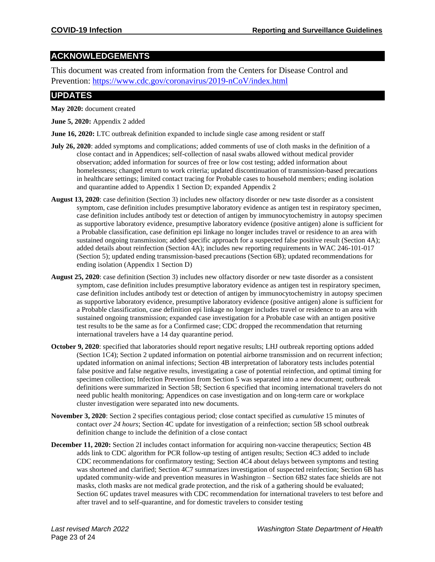# **ACKNOWLEDGEMENTS**

This document was created from information from the Centers for Disease Control and Prevention:<https://www.cdc.gov/coronavirus/2019-nCoV/index.html>

# **UPDATES**

**May 2020:** document created

**June 5, 2020:** Appendix 2 added

**June 16, 2020:** LTC outbreak definition expanded to include single case among resident or staff

- **July 26, 2020**: added symptoms and complications; added comments of use of cloth masks in the definition of a close contact and in Appendices; self-collection of nasal swabs allowed without medical provider observation; added information for sources of free or low cost testing; added information about homelessness; changed return to work criteria; updated discontinuation of transmission-based precautions in healthcare settings; limited contact tracing for Probable cases to household members; ending isolation and quarantine added to Appendix 1 Section D; expanded Appendix 2
- **August 13, 2020**: case definition (Section 3) includes new olfactory disorder or new taste disorder as a consistent symptom, case definition includes presumptive laboratory evidence as antigen test in respiratory specimen, case definition includes antibody test or detection of antigen by immunocytochemistry in autopsy specimen as supportive laboratory evidence, presumptive laboratory evidence (positive antigen) alone is sufficient for a Probable classification, case definition epi linkage no longer includes travel or residence to an area with sustained ongoing transmission; added specific approach for a suspected false positive result (Section 4A); added details about reinfection (Section 4A); includes new reporting requirements in WAC 246-101-017 (Section 5); updated ending transmission-based precautions (Section 6B); updated recommendations for ending isolation (Appendix 1 Section D)
- **August 25, 2020**: case definition (Section 3) includes new olfactory disorder or new taste disorder as a consistent symptom, case definition includes presumptive laboratory evidence as antigen test in respiratory specimen, case definition includes antibody test or detection of antigen by immunocytochemistry in autopsy specimen as supportive laboratory evidence, presumptive laboratory evidence (positive antigen) alone is sufficient for a Probable classification, case definition epi linkage no longer includes travel or residence to an area with sustained ongoing transmission; expanded case investigation for a Probable case with an antigen positive test results to be the same as for a Confirmed case; CDC dropped the recommendation that returning international travelers have a 14 day quarantine period.
- **October 9, 2020**: specified that laboratories should report negative results; LHJ outbreak reporting options added (Section 1C4); Section 2 updated information on potential airborne transmission and on recurrent infection; updated information on animal infections; Section 4B interpretation of laboratory tests includes potential false positive and false negative results, investigating a case of potential reinfection, and optimal timing for specimen collection; Infection Prevention from Section 5 was separated into a new document; outbreak definitions were summarized in Section 5B; Section 6 specified that incoming international travelers do not need public health monitoring; Appendices on case investigation and on long-term care or workplace cluster investigation were separated into new documents.
- **November 3, 2020**: Section 2 specifies contagious period; close contact specified as *cumulative* 15 minutes of contact *over 24 hours*; Section 4C update for investigation of a reinfection; section 5B school outbreak definition change to include the definition of a close contact
- **December 11, 2020:** Section 2I includes contact information for acquiring non-vaccine therapeutics; Section 4B adds link to CDC algorithm for PCR follow-up testing of antigen results; Section 4C3 added to include CDC recommendations for confirmatory testing; Section 4C4 about delays between symptoms and testing was shortened and clarified; Section 4C7 summarizes investigation of suspected reinfection; Section 6B has updated community-wide and prevention measures in Washington – Section 6B2 states face shields are not masks, cloth masks are not medical grade protection, and the risk of a gathering should be evaluated; Section 6C updates travel measures with CDC recommendation for international travelers to test before and after travel and to self-quarantine, and for domestic travelers to consider testing